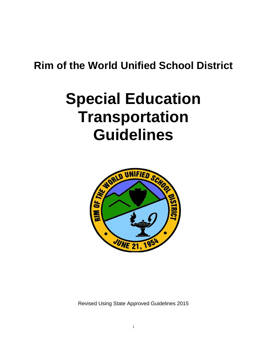# **Rim of the World Unified School District**

# **Special Education Transportation Guidelines**



Revised Using State Approved Guidelines 2015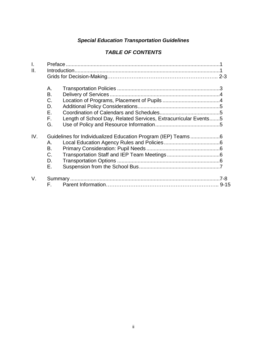#### *Special Education Transportation Guidelines*

#### *TABLE OF CONTENTS*

| А.<br>В.<br>C.<br>D.<br>Ε.<br>F.<br>Length of School Day, Related Services, Extracurricular Events5<br>G.<br>IV.<br>А.<br>В.<br>$C_{\cdot}$<br>D.<br>Е.<br>V. | $\mathsf{L}$<br>ΙΙ. |    |  |  |  |
|---------------------------------------------------------------------------------------------------------------------------------------------------------------|---------------------|----|--|--|--|
|                                                                                                                                                               |                     |    |  |  |  |
|                                                                                                                                                               |                     |    |  |  |  |
|                                                                                                                                                               |                     |    |  |  |  |
|                                                                                                                                                               |                     |    |  |  |  |
|                                                                                                                                                               |                     |    |  |  |  |
|                                                                                                                                                               |                     |    |  |  |  |
|                                                                                                                                                               |                     |    |  |  |  |
|                                                                                                                                                               |                     |    |  |  |  |
|                                                                                                                                                               |                     |    |  |  |  |
|                                                                                                                                                               |                     |    |  |  |  |
|                                                                                                                                                               |                     |    |  |  |  |
|                                                                                                                                                               |                     |    |  |  |  |
|                                                                                                                                                               |                     |    |  |  |  |
|                                                                                                                                                               |                     |    |  |  |  |
|                                                                                                                                                               |                     |    |  |  |  |
|                                                                                                                                                               |                     | F. |  |  |  |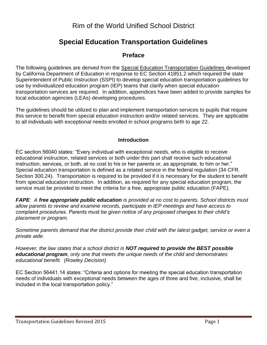### Rim of the World Unified School District

## **Special Education Transportation Guidelines**

#### **Preface**

The following guidelines are derived from the Special Education Transportation Guidelines developed by California Department of Education in response to EC Section 41851.2 which required the state Superintendent of Public Instruction (SSPI) to develop special education transportation guidelines for use by individualized education program (IEP) teams that clarify when special education transportation services are required. In addition, appendices have been added to provide samples for local education agencies (LEAs) developing procedures.

The guidelines should be utilized to plan and implement transportation services to pupils that require this service to benefit from special education instruction and/or related services. They are applicable to all individuals with exceptional needs enrolled in school programs birth to age 22.

#### **Introduction**

EC section 56040 states: "Every individual with exceptional needs, who is eligible to receive educational instruction, related services or both under this part shall receive such educational instruction, services, or both, at no cost to his or her parents or, as appropriate, to him or her." Special education transportation is defined as a related service in the federal regulation (34 CFR. Section 300.24). Transportation is required to be provided if it is necessary for the student to benefit from special education instruction. In addition, as required for any special education program, the service must be provided to meet the criteria for a free, appropriate public education (FAPE).

*FAPE: A free appropriate public education is provided at no cost to parents. School districts must allow parents to review and examine records, participate in IEP meetings and have access to complaint procedures. Parents must be given notice of any proposed changes to their child's placement or program.*

*Sometime parents demand that the district provide their child with the latest gadget, service or even a private aide.* 

*However, the law states that a school district is NOT required to provide the BEST possible educational program, only one that meets the unique needs of the child and demonstrates educational benefit. (Rowley Decision)*

EC Section 56441.14 states: "Criteria and options for meeting the special education transportation needs of individuals with exceptional needs between the ages of three and five, inclusive, shall be included in the local transportation policy."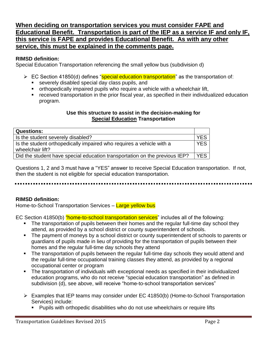#### **When deciding on transportation services you must consider FAPE and Educational Benefit. Transportation is part of the IEP as a service IF and only IF, this service is FAPE and provides Educational Benefit. As with any other service, this must be explained in the comments page.**

#### **RIMSD definition:**

Special Education Transportation referencing the small yellow bus (subdivision d)

- EC Section 41850(d) defines "special education transportation" as the transportation of:
	- severely disabled special day class pupils, and
	- orthopedically impaired pupils who require a vehicle with a wheelchair lift,
	- received transportation in the prior fiscal year, as specified in their individualized education program.

#### **Use this structure to assist in the decision-making for Special Education Transportation**

| <b>Questions:</b>                                                          |            |  |
|----------------------------------------------------------------------------|------------|--|
| Is the student severely disabled?                                          | <b>YES</b> |  |
| Is the student orthopedically impaired who requires a vehicle with a       |            |  |
| wheelchair lift?                                                           |            |  |
| Did the student have special education transportation on the previous IEP? | <b>YES</b> |  |

Questions 1, 2 and 3 must have a "YES" answer to receive Special Education transportation. If not, then the student is not eligible for special education transportation.

#### **RIMSD definition:**

Home-to-School Transportation Services – Large yellow bus

EC Section 41850(b) "home-to-school transportation services" includes all of the following:

- The transportation of pupils between their homes and the regular full-time day school they attend, as provided by a school district or county superintendent of schools.
- The payment of moneys by a school district or county superintendent of schools to parents or guardians of pupils made in lieu of providing for the transportation of pupils between their homes and the regular full-time day schools they attend
- The transportation of pupils between the regular full-time day schools they would attend and the regular full-time occupational training classes they attend, as provided by a regional occupational center or program
- The transportation of individuals with exceptional needs as specified in their individualized education programs, who do not receive "special education transportation" as defined in subdivision (d), see above, will receive "home-to-school transportation services"
- Examples that IEP teams may consider under EC 41850(b) (Home-to-School Transportation Services) include:
	- Pupils with orthopedic disabilities who do not use wheelchairs or require lifts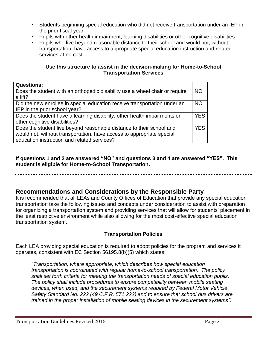- Students beginning special education who did not receive transportation under an IEP in the prior fiscal year
- Pupils with other health impairment, learning disabilities or other cognitive disabilities
- **Pupils who live beyond reasonable distance to their school and would not, without** transportation, have access to appropriate special education instruction and related services at no cost

#### **Use this structure to assist in the decision-making for Home-to-School Transportation Services**

| <b>Questions:</b>                                                           |            |  |
|-----------------------------------------------------------------------------|------------|--|
| Does the student with an orthopedic disability use a wheel chair or require |            |  |
| a lift?                                                                     |            |  |
| Did the new enrollee in special education receive transportation under an   | <b>NO</b>  |  |
| IEP in the prior school year?                                               |            |  |
| Does the student have a learning disability, other health impairments or    | <b>YES</b> |  |
| other cognitive disabilities?                                               |            |  |
| Does the student live beyond reasonable distance to their school and        | YES        |  |
| would not, without transportation, have access to appropriate special       |            |  |
| education instruction and related services?                                 |            |  |

**If questions 1 and 2 are answered "NO" and questions 3 and 4 are answered "YES". This student is eligible for Home-to-School Transportation.**

#### **Recommendations and Considerations by the Responsible Party**

It is recommended that all LEAs and County Offices of Education that provide any special education transportation take the following issues and concepts under consideration to assist with preparation for organizing a transportation system and providing services that will allow for students' placement in the least restrictive environment while also allowing for the most cost-effective special education transportation system.

#### **Transportation Policies**

Each LEA providing special education is required to adopt policies for the program and services it operates, consistent with EC Section 56195.8(b)(5) which states:

*"Transportation, where appropriate, which describes how special education transportation is coordinated with regular home-to-school transportation. The policy shall set forth criteria for meeting the transportation needs of special education pupils. The policy shall include procedures to ensure compatibility between mobile seating devices, when used, and the securement systems required by Federal Motor Vehicle Safety Standard No. 222 (49 C.F.R. 571.222) and to ensure that school bus drivers are trained in the proper installation of mobile seating devices in the securement systems".*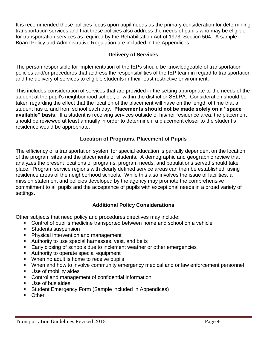It is recommended these policies focus upon pupil needs as the primary consideration for determining transportation services and that these policies also address the needs of pupils who may be eligible for transportation services as required by the Rehabilitation Act of 1973, Section 504. A sample Board Policy and Administrative Regulation are included in the Appendices.

#### **Delivery of Services**

The person responsible for implementation of the IEPs should be knowledgeable of transportation policies and/or procedures that address the responsibilities of the IEP team in regard to transportation and the delivery of services to eligible students in their least restrictive environment.

This includes consideration of services that are provided in the setting appropriate to the needs of the student at the pupil's neighborhood school, or within the district or SELPA. Consideration should be taken regarding the effect that the location of the placement will have on the length of time that a student has to and from school each day. **Placements should not be made solely on a "space available" basis.** If a student is receiving services outside of his/her residence area, the placement should be reviewed at least annually in order to determine if a placement closer to the student's residence would be appropriate.

#### **Location of Programs, Placement of Pupils**

The efficiency of a transportation system for special education is partially dependent on the location of the program sites and the placements of students. A demographic and geographic review that analyzes the present locations of programs, program needs, and populations served should take place. Program service regions with clearly defined service areas can then be established, using residence areas of the neighborhood schools. While this also involves the issue of facilities, a mission statement and policies developed by the agency may promote the comprehensive commitment to all pupils and the acceptance of pupils with exceptional needs in a broad variety of settings.

#### **Additional Policy Considerations**

Other subjects that need policy and procedures directives may include:

- Control of pupil's medicine transported between home and school on a vehicle
- **Students suspension**
- **Physical intervention and management**
- Authority to use special harnesses, vest, and belts
- **Early closing of schools due to inclement weather or other emergencies**
- Authority to operate special equipment
- **When no adult is home to receive pupils**
- When and how to involve community emergency medical and or law enforcement personnel
- **Use of mobility aides**
- **Control and management of confidential information**
- Use of bus aides
- Student Emergency Form (Sample included in Appendices)
- **D**ther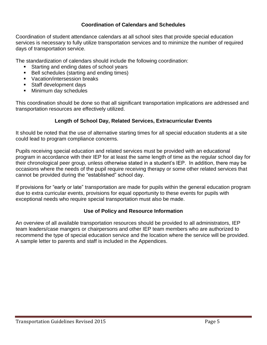#### **Coordination of Calendars and Schedules**

Coordination of student attendance calendars at all school sites that provide special education services is necessary to fully utilize transportation services and to minimize the number of required days of transportation service.

The standardization of calendars should include the following coordination:

- Starting and ending dates of school years
- Bell schedules (starting and ending times)
- **Vacation/intersession breaks**
- **Staff development days**
- **Minimum day schedules**

This coordination should be done so that all significant transportation implications are addressed and transportation resources are effectively utilized.

#### **Length of School Day, Related Services, Extracurricular Events**

It should be noted that the use of alternative starting times for all special education students at a site could lead to program compliance concerns.

Pupils receiving special education and related services must be provided with an educational program in accordance with their IEP for at least the same length of time as the regular school day for their chronological peer group, unless otherwise stated in a student's IEP. In addition, there may be occasions where the needs of the pupil require receiving therapy or some other related services that cannot be provided during the "established" school day.

If provisions for "early or late" transportation are made for pupils within the general education program due to extra curricular events, provisions for equal opportunity to these events for pupils with exceptional needs who require special transportation must also be made.

#### **Use of Policy and Resource Information**

An overview of all available transportation resources should be provided to all administrators, IEP team leaders/case mangers or chairpersons and other IEP team members who are authorized to recommend the type of special education service and the location where the service will be provided. A sample letter to parents and staff is included in the Appendices.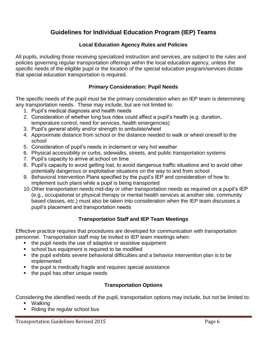#### **Guidelines for Individual Education Program (IEP) Teams**

#### **Local Education Agency Rules and Policies**

All pupils, including those receiving specialized instruction and services, are subject to the rules and policies governing regular transportation offerings within the local education agency, unless the specific needs of the eligible pupil or the location of the special education program/services dictate that special education transportation is required.

#### **Primary Consideration: Pupil Needs**

The specific needs of the pupil must be the primary consideration when an IEP team is determining any transportation needs. These may include, but are not limited to:

- 1. Pupil's medical diagnosis and health needs
- 2. Consideration of whether long bus rides could affect a pupil's health (e.g. duration, temperature control, need for services, health emergencies)
- 3. Pupil's general ability and/or strength to ambulate/wheel
- 4. Approximate distance from school or the distance needed to walk or wheel oneself to the school
- 5. Consideration of pupil's needs in inclement or very hot weather
- 6. Physical accessibility or curbs, sidewalks, streets, and public transportation systems
- 7. Pupil's capacity to arrive at school on time
- 8. Pupil's capacity to avoid getting lost, to avoid dangerous traffic situations and to avoid other potentially dangerous or exploitative situations on the way to and from school
- 9. Behavioral Intervention Plans specified by the pupil's IEP and consideration of how to implement such plans while a pupil is being transported
- 10.Other transportation needs mid-day or other transportation needs as required on a pupil's IEP (e.g., occupational or physical therapy or mental health services at another site, community based classes, etc.) must also be taken into consideration when the IEP team discusses a pupil's placement and transportation needs

#### **Transportation Staff and IEP Team Meetings**

Effective practice requires that procedures are developed for communication with transportation personnel. Transportation staff may be invited to IEP team meetings when:

- the pupil needs the use of adaptive or assistive equipment
- school bus equipment is required to be modified
- the pupil exhibits severe behavioral difficulties and a behavior intervention plan is to be implemented
- **the pupil is medically fragile and requires special assistance**
- the pupil has other unique needs

#### **Transportation Options**

Considering the identified needs of the pupil, transportation options may include, but not be limited to:

- Walking
- Riding the regular school bus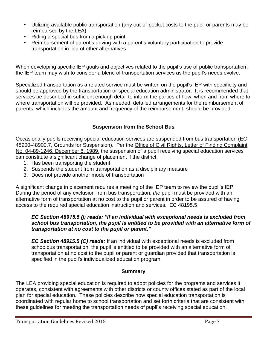- Utilizing available public transportation (any out-of-pocket costs to the pupil or parents may be reimbursed by the LEA)
- Riding a special bus from a pick up point
- Reimbursement of parent's driving with a parent's voluntary participation to provide transportation in lieu of other alternatives

When developing specific IEP goals and objectives related to the pupil's use of public transportation, the IEP team may wish to consider a blend of transportation services as the pupil's needs evolve.

Specialized transportation as a related service must be written on the pupil's IEP with specificity and should be approved by the transportation or special education administrator. It is recommended that services be described in sufficient enough detail to inform the parties of how, when and from where to where transportation will be provided. As needed, detailed arrangements for the reimbursement of parents, which includes the amount and frequency of the reimbursement*,* should be provided.

#### **Suspension from the School Bus**

Occasionally pupils receiving special education services are suspended from bus transportation (EC 48900-48900.7, Grounds for Suspension). Per the Office of Civil Rights, Letter of Finding Complaint No. 04-89-1246, December 8, 1989, the suspension of a pupil receiving special education services can constitute a significant change of placement if the district:

- 1. Has been transporting the student
- 2. Suspends the student from transportation as a disciplinary measure
- 3. Does not provide another mode of transportation

A significant change in placement requires a meeting of the IEP team to review the pupil's IEP. During the period of any exclusion from bus transportation, *the* pupil must be provided with an alternative form of transportation at no cost to the pupil or parent in order to be assured of having access to the required special education instruction and services. EC 48195.5:

#### *EC Section 48915.5 (j) reads: "If an individual with exceptional needs is excluded from school bus transportation, the pupil is entitled to be provided with an alternative form of transportation at no cost to the pupil or parent."*

*EC Section 48915.5 (C) reads:* If an individual with exceptional needs is excluded from schoolbus transportation, the pupil is entitled to be provided with an alternative form of transportation at no cost to the pupil or parent or guardian provided that transportation is specified in the pupil's individualized education program.

#### **Summary**

The LEA providing special education is required to adopt policies for the programs and services it operates, consistent with agreements with other districts or county offices stated as part of the local plan for special education. These policies describe how special education transportation is coordinated with regular home to school transportation and set forth criteria that are consistent with these guidelines for meeting the transportation needs of pupil's receiving special education.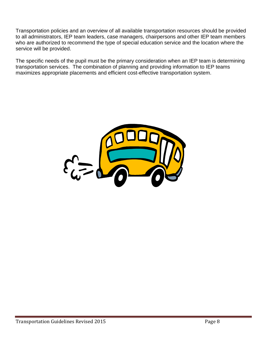Transportation policies and an overview of all available transportation resources should be provided to all administrators, IEP team leaders, case managers, chairpersons and other IEP team members who are authorized to recommend the type of special education service and the location where the service will be provided.

The specific needs of the pupil must be the primary consideration when an IEP team is determining transportation services. The combination of planning and providing information to IEP teams maximizes appropriate placements and efficient cost-effective transportation system.

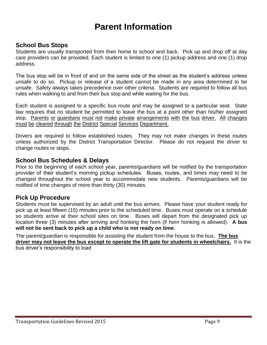# **Parent Information**

#### **School Bus Stops**

Students are usually transported from their home to school and back. Pick up and drop off at day care providers can be provided. Each student is limited to one (1) pickup address and one (1) drop address.

The bus stop will be in front of and on the same side of the street as the student's address unless unsafe to do so. Pickup or release of a student cannot be made in any area determined to be unsafe. Safety always takes precedence over other criteria. Students are required to follow all bus rules when walking to and from their bus stop and while waiting for the bus.

Each student is assigned to a specific bus route and may be assigned to a particular seat. State law requires that no student be permitted to leave the bus at a point other than his/her assigned stop. Parents or guardians must not make private arrangements with the bus driver. All changes must be cleared through the District Special Services Department.

Drivers are required to follow established routes. They may not make changes in these routes unless authorized by the District Transportation Director. Please do not request the driver to change routes or stops.

#### **School Bus Schedules & Delays**

Prior to the beginning of each school year, parents/guardians will be notified by the transportation provider of their student's morning pickup schedules. Buses, routes, and times may need to be changed throughout the school year to accommodate new students. Parents/guardians will be notified of time changes of more than thirty (30) minutes.

#### **Pick Up Procedure**

Students must be supervised by an adult until the bus arrives. Please have your student ready for pick up at least fifteen (15) minutes prior to the scheduled time. Buses must operate on a schedule so students arrive at their school sites on time. Buses will depart from the designated pick up location three (3) minutes after arriving and honking the horn (if horn honking is allowed). **A bus will not be sent back to pick up a child who is not ready on time.**

The parent/guardian is responsible for assisting the student from the house to the bus. **The bus driver may not leave the bus except to operate the lift gate for students in wheelchairs.** It is the bus driver's responsibility to load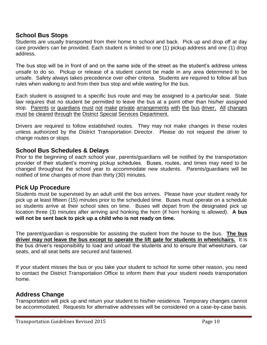#### **School Bus Stops**

Students are usually transported from their home to school and back. Pick up and drop off at day care providers can be provided. Each student is limited to one (1) pickup address and one (1) drop address.

The bus stop will be in front of and on the same side of the street as the student's address unless unsafe to do so. Pickup or release of a student cannot be made in any area determined to be unsafe. Safety always takes precedence over other criteria. Students are required to follow all bus rules when walking to and from their bus stop and while waiting for the bus.

Each student is assigned to a specific bus route and may be assigned to a particular seat. State law requires that no student be permitted to leave the bus at a point other than his/her assigned stop. Parents or guardians must not make private arrangements with the bus driver. All changes must be cleared through the District Special Services Department.

Drivers are required to follow established routes. They may not make changes in these routes unless authorized by the District Transportation Director. Please do not request the driver to change routes or stops.

#### **School Bus Schedules & Delays**

Prior to the beginning of each school year, parents/guardians will be notified by the transportation provider of their student's morning pickup schedules. Buses, routes, and times may need to be changed throughout the school year to accommodate new students. Parents/guardians will be notified of time changes of more than thirty (30) minutes.

#### **Pick Up Procedure**

Students must be supervised by an adult until the bus arrives. Please have your student ready for pick up at least fifteen (15) minutes prior to the scheduled time. Buses must operate on a schedule so students arrive at their school sites on time. Buses will depart from the designated pick up location three (3) minutes after arriving and honking the horn (if horn honking is allowed). **A bus will not be sent back to pick up a child who is not ready on time.**

The parent/guardian is responsible for assisting the student from the house to the bus. **The bus driver may not leave the bus except to operate the lift gate for students in wheelchairs.** It is the bus driver's responsibility to load and unload the students and to ensure that wheelchairs, car seats, and all seat belts are secured and fastened.

If your student misses the bus or you take your student to school for some other reason, you need to contact the District Transportation Office to inform them that your student needs transportation home.

#### **Address Change**

Transportation will pick up and return your student to his/her residence. Temporary changes cannot be accommodated. Requests for alternative addresses will be considered on a case-by-case basis.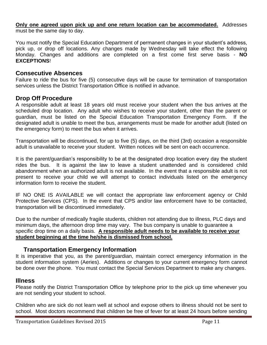**Only one agreed upon pick up and one return location can be accommodated.** Addresses must be the same day to day.

You must notify the Special Education Department of permanent changes in your student's address, pick up, or drop off locations. Any changes made by Wednesday will take effect the following Monday. Changes and additions are completed on a first come first serve basis - **NO EXCEPTIONS**!

#### **Consecutive Absences**

Failure to ride the bus for five (5) consecutive days will be cause for termination of transportation services unless the District Transportation Office is notified in advance.

#### **Drop Off Procedure**

A responsible adult at least 18 years old must receive your student when the bus arrives at the scheduled drop location. Any adult who wishes to receive your student, other than the parent or guardian, must be listed on the Special Education Transportation Emergency Form. If the designated adult is unable to meet the bus, arrangements must be made for another adult (listed on the emergency form) to meet the bus when it arrives.

Transportation will be discontinued, for up to five (5) days, on the third (3rd) occasion a responsible adult is unavailable to receive your student. Written notices will be sent on each occurrence.

It is the parent/guardian's responsibility to be at the designated drop location every day the student rides the bus. It is against the law to leave a student unattended and is considered child abandonment when an authorized adult is not available. In the event that a responsible adult is not present to receive your child we will attempt to contact individuals listed on the emergency information form to receive the student.

IF NO ONE IS AVAILABLE we will contact the appropriate law enforcement agency or Child Protective Services (CPS). In the event that CPS and/or law enforcement have to be contacted, transportation will be discontinued immediately.

Due to the number of medically fragile students, children not attending due to illness, PLC days and minimum days, the afternoon drop time may vary. The bus company is unable to guarantee a specific drop time on a daily basis. **A responsible adult needs to be available to receive your student beginning at the time he/she is dismissed from school.** 

#### **Transportation Emergency Information**

It is imperative that you, as the parent/guardian, maintain correct emergency information in the student information system (Aeries). Additions or changes to your current emergency form cannot be done over the phone. You must contact the Special Services Department to make any changes.

#### **Illness**

Please notify the District Transportation Office by telephone prior to the pick up time whenever you are not sending your student to school.

Children who are sick do not learn well at school and expose others to illness should not be sent to school. Most doctors recommend that children be free of fever for at least 24 hours before sending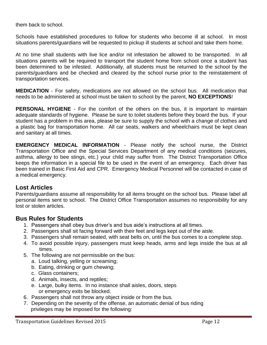them back to school.

Schools have established procedures to follow for students who become ill at school. In most situations parents/guardians will be requested to pickup ill students at school and take them home.

At no time shall students with live lice and/or nit infestation be allowed to be transported. In all situations parents will be required to transport the student home from school once a student has been determined to be infested. Additionally, all students must be returned to the school by the parents/guardians and be checked and cleared by the school nurse prior to the reinstatement of transportation services.

**MEDICATION** - For safety, medications are not allowed on the school bus. All medication that needs to be administered at school must be taken to school by the parent, **NO EXCEPTIONS**!

**PERSONAL HYGIENE** - For the comfort of the others on the bus, it is important to maintain adequate standards of hygiene. Please be sure to toilet students before they board the bus. If your student has a problem in this area, please be sure to supply the school with a change of clothes and a plastic bag for transportation home. All car seats, walkers and wheelchairs must be kept clean and sanitary at all times.

**EMERGENCY MEDICAL INFORMATION** - Please notify the school nurse, the District Transportation Office and the Special Services Department of any medical conditions (seizures, asthma, allergy to bee stings, etc.) your child may suffer from. The District Transportation Office keeps the information in a special file to be used in the event of an emergency. Each driver has been trained in Basic First Aid and CPR. Emergency Medical Personnel will be contacted in case of a medical emergency.

#### **Lost Articles**

Parents/guardians assume all responsibility for all items brought on the school bus. Please label all personal items sent to school. The District Office Transportation assumes no responsibility for any lost or stolen articles.

#### **Bus Rules for Students**

- 1. Passengers shall obey bus driver's and bus aide's instructions at all times.
- 2. Passengers shall sit facing forward with their feet and legs kept out of the aisle.
- 3. Passengers shall remain seated, with seat belts on, until the bus comes to a complete stop.
- 4. To avoid possible injury, passengers must keep heads, arms and legs inside the bus at all times.
- 5. The following are not permissible on the bus:
	- a. Loud talking, yelling or screaming;
	- b. Eating, drinking or gum chewing;
	- c. Glass containers;
	- d. Animals, insects, and reptiles;
	- e. Large, bulky items. In no instance shall aisles, doors, steps or emergency exits be blocked.
- 6. Passengers shall not throw any object inside or from the bus.
- 7. Depending on the severity of the offense, an automatic denial of bus riding privileges may be imposed for the following: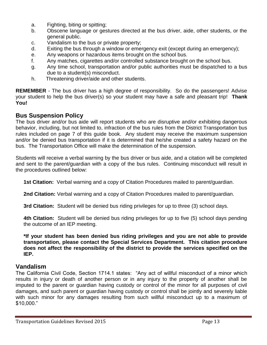- a. Fighting, biting or spitting;
- b. Obscene language or gestures directed at the bus driver, aide, other students, or the general public.
- c. Vandalism to the bus or private property;
- d. Exiting the bus through a window or emergency exit (except during an emergency);
- e. Any weapons or hazardous items brought on the school bus.
- f. Any matches, cigarettes and/or controlled substance brought on the school bus.
- g. Any time school, transportation and/or public authorities must be dispatched to a bus due to a student(s) misconduct.
- h. Threatening driver/aide and other students.

**REMEMBER** - The bus driver has a high degree of responsibility. So do the passengers! Advise your student to help the bus driver(s) so your student may have a safe and pleasant trip! **Thank You!**

#### **Bus Suspension Policy**

The bus driver and/or bus aide will report students who are disruptive and/or exhibiting dangerous behavior, including, but not limited to, infraction of the bus rules from the District Transportation bus rules included on page 7 of this guide book. Any student may receive the maximum suspension and/or be denied bus transportation if it is determined that he/she created a safety hazard on the bus. The Transportation Office will make the determination of the suspension.

Students will receive a verbal warning by the bus driver or bus aide, and a citation will be completed and sent to the parent/guardian with a copy of the bus rules. Continuing misconduct will result in the procedures outlined below:

**1st Citation:** Verbal warning and a copy of Citation Procedures mailed to parent/guardian.

**2nd Citation:** Verbal warning and a copy of Citation Procedures mailed to parent/guardian.

**3rd Citation:** Student will be denied bus riding privileges for up to three (3) school days.

**4th Citation:** Student will be denied bus riding privileges for up to five (5) school days pending the outcome of an IEP meeting.

**\*If your student has been denied bus riding privileges and you are not able to provide transportation, please contact the Special Services Department. This citation procedure does not affect the responsibility of the district to provide the services specified on the IEP.**

#### **Vandalism**

The California Civil Code, Section 1714.1 states: "Any act of willful misconduct of a minor which results in injury or death of another person or in any injury to the property of another shall be imputed to the parent or guardian having custody or control of the minor for all purposes of civil damages, and such parent or guardian having custody or control shall be jointly and severely liable with such minor for any damages resulting from such willful misconduct up to a maximum of \$10,000."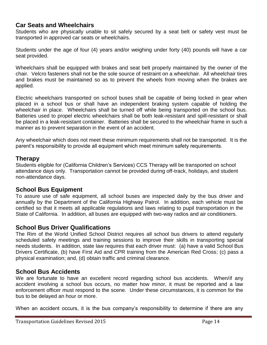#### **Car Seats and Wheelchairs**

Students who are physically unable to sit safely secured by a seat belt or safety vest must be transported in approved car seats or wheelchairs.

Students under the age of four (4) years and/or weighing under forty (40) pounds will have a car seat provided.

Wheelchairs shall be equipped with brakes and seat belt properly maintained by the owner of the chair. Velcro fasteners shall not be the sole source of restraint on a wheelchair. All wheelchair tires and brakes must be maintained so as to prevent the wheels from moving when the brakes are applied.

Electric wheelchairs transported on school buses shall be capable of being locked in gear when placed in a school bus or shall have an independent braking system capable of holding the wheelchair in place. Wheelchairs shall be turned off while being transported on the school bus. Batteries used to propel electric wheelchairs shall be both leak-resistant and spill-resistant or shall be placed in a leak-resistant container. Batteries shall be secured to the wheelchair frame in such a manner as to prevent separation in the event of an accident.

Any wheelchair which does not meet these minimum requirements shall not be transported. It is the parent's responsibility to provide all equipment which meet minimum safety requirements.

#### **Therapy**

Students eligible for (California Children's Services) CCS Therapy will be transported on school attendance days only. Transportation cannot be provided during off-track, holidays, and student non-attendance days.

#### **School Bus Equipment**

To assure use of safe equipment, all school buses are inspected daily by the bus driver and annually by the Department of the California Highway Patrol. In addition, each vehicle must be certified so that it meets all applicable regulations and laws relating to pupil transportation in the State of California. In addition, all buses are equipped with two-way radios and air conditioners.

#### **School Bus Driver Qualifications**

The Rim of the World Unified School District requires all school bus drivers to attend regularly scheduled safety meetings and training sessions to improve their skills in transporting special needs students. In addition, state law requires that each driver must: (a) have a valid School Bus Drivers Certificate, (b) have First Aid and CPR training from the American Red Cross; (c) pass a physical examination; and, (d) obtain traffic and criminal clearance.

#### **School Bus Accidents**

We are fortunate to have an excellent record regarding school bus accidents. When/if any accident involving a school bus occurs, no matter how minor, it must be reported and a law enforcement officer must respond to the scene. Under these circumstances, it is common for the bus to be delayed an hour or more.

When an accident occurs, it is the bus company's responsibility to determine if there are any